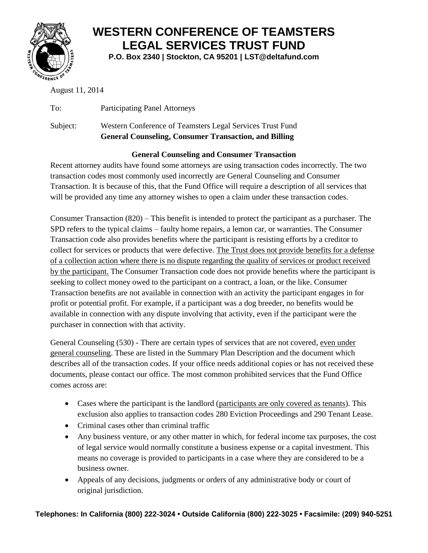

## **WESTERN CONFERENCE OF TEAMSTERS LEGAL SERVICES TRUST FUND**

**P.O. Box 2340 | Stockton, CA 95201 | LST@deltafund.com**

August 11, 2014

To: Participating Panel Attorneys Subject: Western Conference of Teamsters Legal Services Trust Fund **General Counseling, Consumer Transaction, and Billing**

## **General Counseling and Consumer Transaction**

Recent attorney audits have found some attorneys are using transaction codes incorrectly. The two transaction codes most commonly used incorrectly are General Counseling and Consumer Transaction. It is because of this, that the Fund Office will require a description of all services that will be provided any time any attorney wishes to open a claim under these transaction codes.

Consumer Transaction (820) – This benefit is intended to protect the participant as a purchaser. The SPD refers to the typical claims – faulty home repairs, a lemon car, or warranties. The Consumer Transaction code also provides benefits where the participant is resisting efforts by a creditor to collect for services or products that were defective. The Trust does not provide benefits for a defense of a collection action where there is no dispute regarding the quality of services or product received by the participant. The Consumer Transaction code does not provide benefits where the participant is seeking to collect money owed to the participant on a contract, a loan, or the like. Consumer Transaction benefits are not available in connection with an activity the participant engages in for profit or potential profit. For example, if a participant was a dog breeder, no benefits would be available in connection with any dispute involving that activity, even if the participant were the purchaser in connection with that activity.

General Counseling (530) - There are certain types of services that are not covered, even under general counseling. These are listed in the Summary Plan Description and the document which describes all of the transaction codes. If your office needs additional copies or has not received these documents, please contact our office. The most common prohibited services that the Fund Office comes across are:

- Cases where the participant is the landlord (participants are only covered as tenants). This exclusion also applies to transaction codes 280 Eviction Proceedings and 290 Tenant Lease.
- Criminal cases other than criminal traffic
- Any business venture, or any other matter in which, for federal income tax purposes, the cost of legal service would normally constitute a business expense or a capital investment. This means no coverage is provided to participants in a case where they are considered to be a business owner.
- Appeals of any decisions, judgments or orders of any administrative body or court of original jurisdiction.